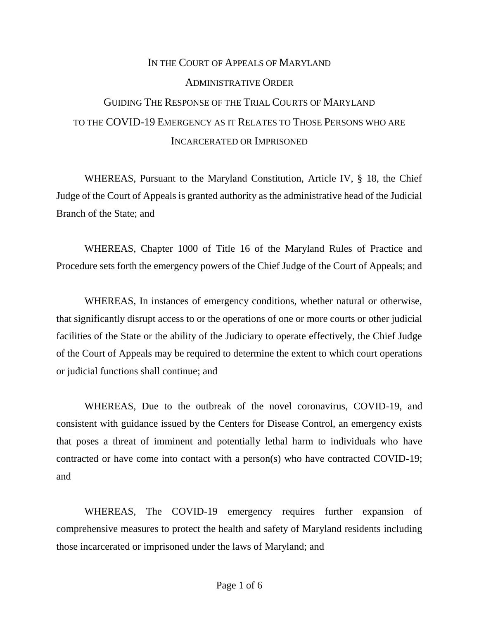## IN THE COURT OF APPEALS OF MARYLAND ADMINISTRATIVE ORDER GUIDING THE RESPONSE OF THE TRIAL COURTS OF MARYLAND TO THE COVID-19 EMERGENCY AS IT RELATES TO THOSE PERSONS WHO ARE INCARCERATED OR IMPRISONED

WHEREAS, Pursuant to the Maryland Constitution, Article IV, § 18, the Chief Judge of the Court of Appeals is granted authority as the administrative head of the Judicial Branch of the State; and

WHEREAS, Chapter 1000 of Title 16 of the Maryland Rules of Practice and Procedure sets forth the emergency powers of the Chief Judge of the Court of Appeals; and

WHEREAS, In instances of emergency conditions, whether natural or otherwise, that significantly disrupt access to or the operations of one or more courts or other judicial facilities of the State or the ability of the Judiciary to operate effectively, the Chief Judge of the Court of Appeals may be required to determine the extent to which court operations or judicial functions shall continue; and

WHEREAS, Due to the outbreak of the novel coronavirus, COVID-19, and consistent with guidance issued by the Centers for Disease Control, an emergency exists that poses a threat of imminent and potentially lethal harm to individuals who have contracted or have come into contact with a person(s) who have contracted COVID-19; and

WHEREAS, The COVID-19 emergency requires further expansion of comprehensive measures to protect the health and safety of Maryland residents including those incarcerated or imprisoned under the laws of Maryland; and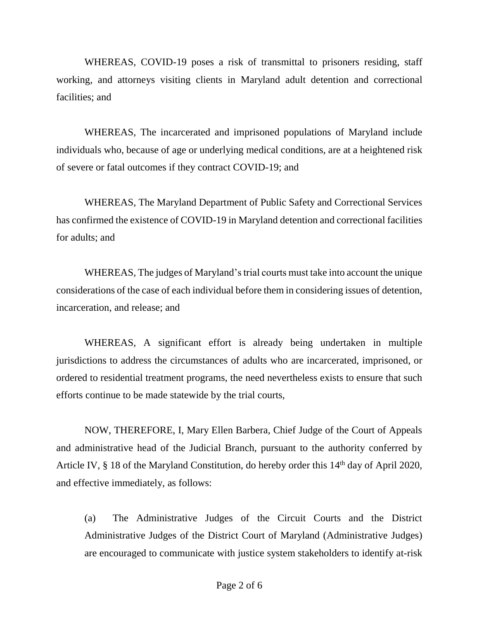WHEREAS, COVID-19 poses a risk of transmittal to prisoners residing, staff working, and attorneys visiting clients in Maryland adult detention and correctional facilities; and

WHEREAS, The incarcerated and imprisoned populations of Maryland include individuals who, because of age or underlying medical conditions, are at a heightened risk of severe or fatal outcomes if they contract COVID-19; and

WHEREAS, The Maryland Department of Public Safety and Correctional Services has confirmed the existence of COVID-19 in Maryland detention and correctional facilities for adults; and

WHEREAS, The judges of Maryland's trial courts must take into account the unique considerations of the case of each individual before them in considering issues of detention, incarceration, and release; and

WHEREAS, A significant effort is already being undertaken in multiple jurisdictions to address the circumstances of adults who are incarcerated, imprisoned, or ordered to residential treatment programs, the need nevertheless exists to ensure that such efforts continue to be made statewide by the trial courts,

NOW, THEREFORE, I, Mary Ellen Barbera, Chief Judge of the Court of Appeals and administrative head of the Judicial Branch, pursuant to the authority conferred by Article IV, § 18 of the Maryland Constitution, do hereby order this 14<sup>th</sup> day of April 2020, and effective immediately, as follows:

(a) The Administrative Judges of the Circuit Courts and the District Administrative Judges of the District Court of Maryland (Administrative Judges) are encouraged to communicate with justice system stakeholders to identify at-risk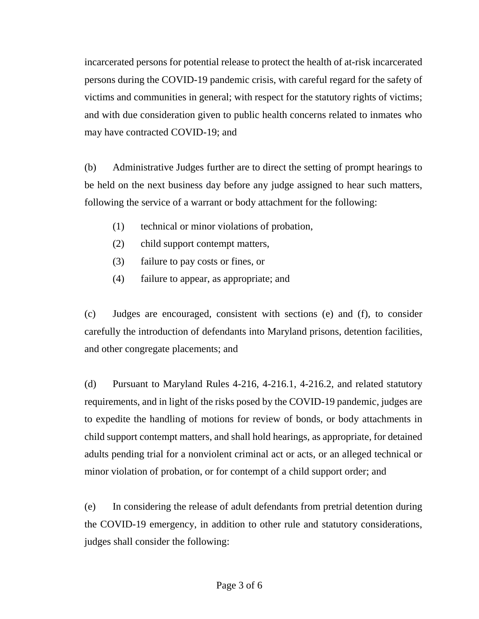incarcerated persons for potential release to protect the health of at-risk incarcerated persons during the COVID-19 pandemic crisis, with careful regard for the safety of victims and communities in general; with respect for the statutory rights of victims; and with due consideration given to public health concerns related to inmates who may have contracted COVID-19; and

(b) Administrative Judges further are to direct the setting of prompt hearings to be held on the next business day before any judge assigned to hear such matters, following the service of a warrant or body attachment for the following:

- (1) technical or minor violations of probation,
- (2) child support contempt matters,
- (3) failure to pay costs or fines, or
- (4) failure to appear, as appropriate; and

(c) Judges are encouraged, consistent with sections (e) and (f), to consider carefully the introduction of defendants into Maryland prisons, detention facilities, and other congregate placements; and

(d) Pursuant to Maryland Rules 4-216, 4-216.1, 4-216.2, and related statutory requirements, and in light of the risks posed by the COVID-19 pandemic, judges are to expedite the handling of motions for review of bonds, or body attachments in child support contempt matters, and shall hold hearings, as appropriate, for detained adults pending trial for a nonviolent criminal act or acts, or an alleged technical or minor violation of probation, or for contempt of a child support order; and

(e) In considering the release of adult defendants from pretrial detention during the COVID-19 emergency, in addition to other rule and statutory considerations, judges shall consider the following: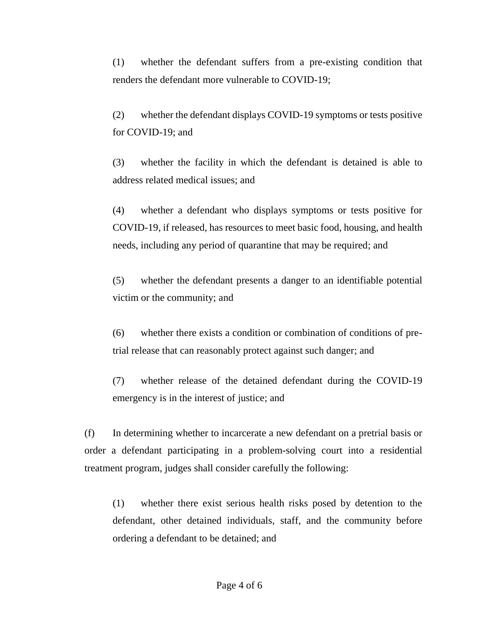(1) whether the defendant suffers from a pre-existing condition that renders the defendant more vulnerable to COVID-19;

(2) whether the defendant displays COVID-19 symptoms or tests positive for COVID-19; and

(3) whether the facility in which the defendant is detained is able to address related medical issues; and

(4) whether a defendant who displays symptoms or tests positive for COVID-19, if released, has resources to meet basic food, housing, and health needs, including any period of quarantine that may be required; and

(5) whether the defendant presents a danger to an identifiable potential victim or the community; and

(6) whether there exists a condition or combination of conditions of pretrial release that can reasonably protect against such danger; and

(7) whether release of the detained defendant during the COVID-19 emergency is in the interest of justice; and

(f) In determining whether to incarcerate a new defendant on a pretrial basis or order a defendant participating in a problem-solving court into a residential treatment program, judges shall consider carefully the following:

(1) whether there exist serious health risks posed by detention to the defendant, other detained individuals, staff, and the community before ordering a defendant to be detained; and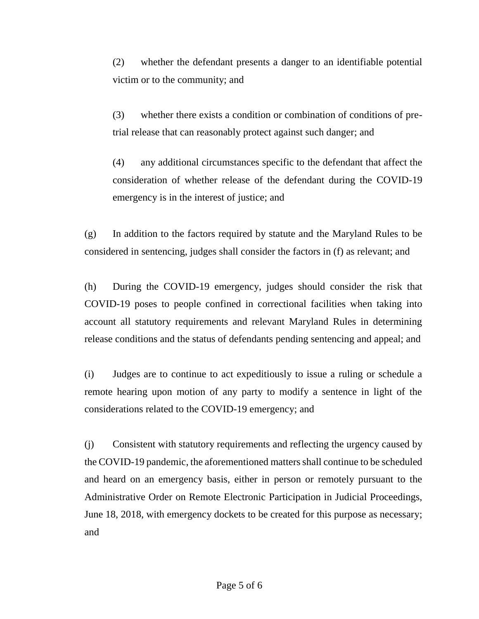(2) whether the defendant presents a danger to an identifiable potential victim or to the community; and

(3) whether there exists a condition or combination of conditions of pretrial release that can reasonably protect against such danger; and

(4) any additional circumstances specific to the defendant that affect the consideration of whether release of the defendant during the COVID-19 emergency is in the interest of justice; and

(g) In addition to the factors required by statute and the Maryland Rules to be considered in sentencing, judges shall consider the factors in (f) as relevant; and

(h) During the COVID-19 emergency, judges should consider the risk that COVID-19 poses to people confined in correctional facilities when taking into account all statutory requirements and relevant Maryland Rules in determining release conditions and the status of defendants pending sentencing and appeal; and

(i) Judges are to continue to act expeditiously to issue a ruling or schedule a remote hearing upon motion of any party to modify a sentence in light of the considerations related to the COVID-19 emergency; and

(j) Consistent with statutory requirements and reflecting the urgency caused by the COVID-19 pandemic, the aforementioned matters shall continue to be scheduled and heard on an emergency basis, either in person or remotely pursuant to the Administrative Order on Remote Electronic Participation in Judicial Proceedings, June 18, 2018, with emergency dockets to be created for this purpose as necessary; and